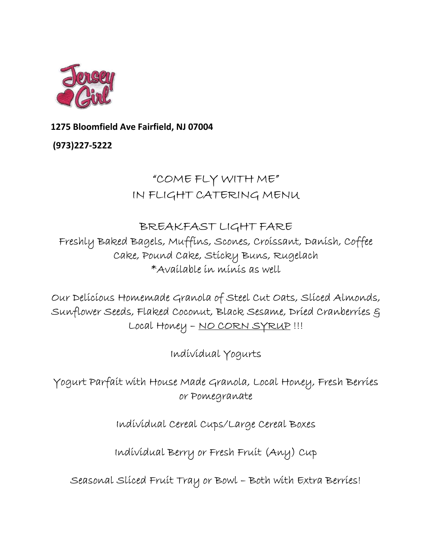

### 1275 Bloomfield Ave Fairfield, NJ 07004

(973)227-5222

# "COME FLY WITH ME" IN FLIGHT CATERING MENU

# BREAKFAST LIGHT FARE

Freshly Baked Bagels, Muffins, Scones, Croissant, Danish, Coffee Cake, Pound Cake, Sticky Buns, Rugelach \*Available in minis as well

Our Delicious Homemade Granola of Steel Cut Oats, Sliced Almonds, Sunflower Seeds, Flaked Coconut, Black Sesame, Dried Cranberries & Local Honey – NO CORN SYRUP !!!

Individual Yogurts

Yogurt Parfait with House Made Granola, Local Honey, Fresh Berries or Pomegranate

Individual Cereal Cups/Large Cereal Boxes

Individual Berry or Fresh Fruit (Any) Cup

Seasonal Sliced Fruit Tray or Bowl – Both with Extra Berries!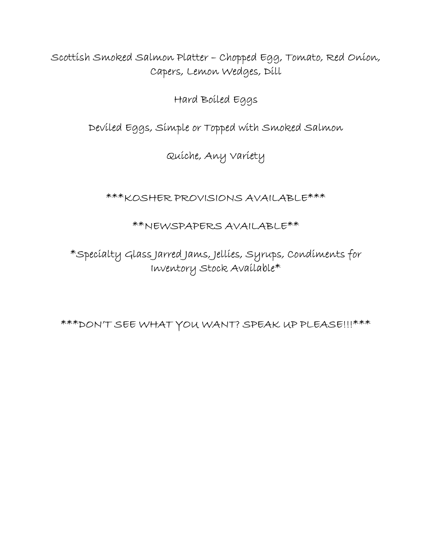Scottish Smoked Salmon Platter – Chopped Egg, Tomato, Red Onion, Capers, Lemon Wedges, Dill

Hard Boiled Eggs

Deviled Eggs, Simple or Topped with Smoked Salmon

Quiche, Any Variety

\*\*\*KOSHER PROVISIONS AVAILABLE\*\*\*

\*\*NEWSPAPERS AVAILABLE\*\*

\*Specialty Glass Jarred Jams, Jellies, Syrups, Condiments for Inventory Stock Available\*

\*\*\*DON'T SEE WHAT YOU WANT? SPEAK UP PLEASE!!!\*\*\*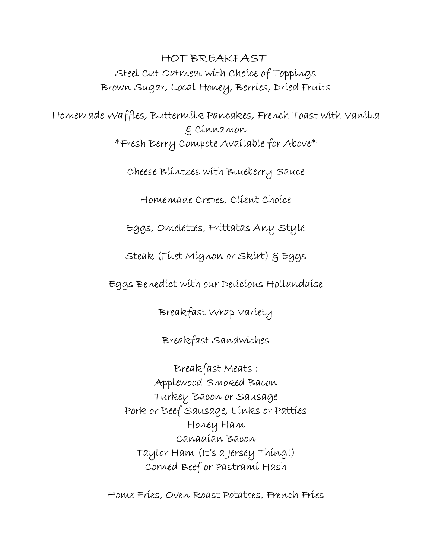HOT BREAKFAST Steel Cut Oatmeal with Choice of Toppings Brown Sugar, Local Honey, Berries, Dried Fruits

Homemade Waffles, Buttermilk Pancakes, French Toast with Vanilla & Cinnamon \*Fresh Berry Compote Available for Above\*

Cheese Blintzes with Blueberry Sauce

Homemade Crepes, Client Choice

Eggs, Omelettes, Frittatas Any Style

Steak (Filet Mignon or Skirt) & Eggs

Eggs Benedict with our Delicious Hollandaise

Breakfast Wrap Variety

Breakfast Sandwiches

Breakfast Meats : Applewood Smoked Bacon Turkey Bacon or Sausage Pork or Beef Sausage, Links or Patties Honey Ham Canadian Bacon Taylor Ham (It's a Jersey Thing!) Corned Beef or Pastrami Hash

Home Fries, Oven Roast Potatoes, French Fries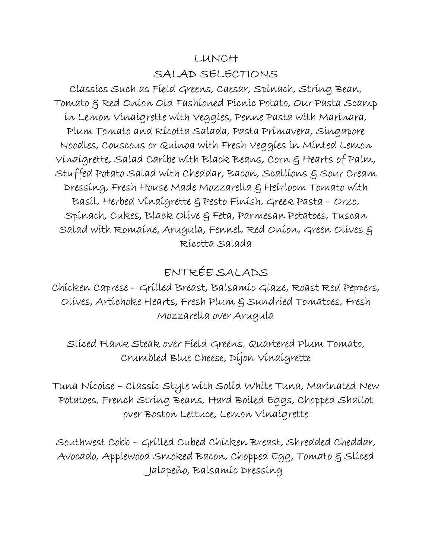### LUNCH

### SALAD SELECTIONS

Classics Such as Field Greens, Caesar, Spinach, String Bean, Tomato & Red Onion Old Fashioned Picnic Potato, Our Pasta Scamp in Lemon Vinaigrette with Veggies, Penne Pasta with Marinara, Plum Tomato and Ricotta Salada, Pasta Primavera, Singapore Noodles, Couscous or Quinoa with Fresh Veggies in Minted Lemon Vinaigrette, Salad Caribe with Black Beans, Corn & Hearts of Palm, Stuffed Potato Salad with Cheddar, Bacon, Scallions & Sour Cream Dressing, Fresh House Made Mozzarella & Heirloom Tomato with Basil, Herbed Vinaigrette & Pesto Finish, Greek Pasta – Orzo, Spinach, Cukes, Black Olive & Feta, Parmesan Potatoes, Tuscan Salad with Romaine, Arugula, Fennel, Red Onion, Green Olives & Ricotta Salada

# ENTRÉE SALADS

Chicken Caprese – Grilled Breast, Balsamic Glaze, Roast Red Peppers, Olives, Artichoke Hearts, Fresh Plum & Sundried Tomatoes, Fresh Mozzarella over Arugula

Sliced Flank Steak over Field Greens, Quartered Plum Tomato, Crumbled Blue Cheese, Dijon Vinaigrette

Tuna Nicoise – Classic Style with Solid White Tuna, Marinated New Potatoes, French String Beans, Hard Boiled Eggs, Chopped Shallot over Boston Lettuce, Lemon Vinaigrette

Southwest Cobb – Grilled Cubed Chicken Breast, Shredded Cheddar, Avocado, Applewood Smoked Bacon, Chopped Egg, Tomato & Sliced Jalapeño, Balsamic Dressing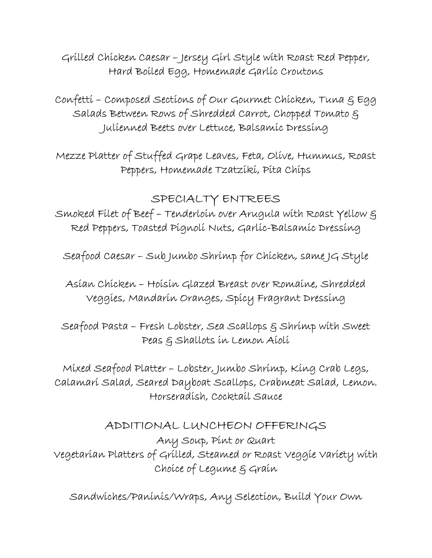Grilled Chicken Caesar – Jersey Girl Style with Roast Red Pepper, Hard Boiled Egg, Homemade Garlic Croutons

Confetti – Composed Sections of Our Gourmet Chicken, Tuna & Egg Salads Between Rows of Shredded Carrot, Chopped Tomato & Julienned Beets over Lettuce, Balsamic Dressing

Mezze Platter of Stuffed Grape Leaves, Feta, Olive, Hummus, Roast Peppers, Homemade Tzatziki, Pita Chips

# SPECIALTY ENTREES

Smoked Filet of Beef – Tenderloin over Arugula with Roast Yellow & Red Peppers, Toasted Pignoli Nuts, Garlic-Balsamic Dressing

Seafood Caesar – Sub Jumbo Shrimp for Chicken, same JG Style

Asian Chicken – Hoisin Glazed Breast over Romaine, Shredded Veggies, Mandarin Oranges, Spicy Fragrant Dressing

Seafood Pasta – Fresh Lobster, Sea Scallops & Shrimp with Sweet Peas & Shallots in Lemon Aioli

Mixed Seafood Platter – Lobster, Jumbo Shrimp, King Crab Legs, Calamari Salad, Seared Dayboat Scallops, Crabmeat Salad, Lemon. Horseradish, Cocktail Sauce

## ADDITIONAL LUNCHEON OFFERINGS

Any Soup, Pint or Quart Vegetarian Platters of Grilled, Steamed or Roast Veggie Variety with Choice of Legume & Grain

Sandwiches/Paninis/Wraps, Any Selection, Build Your Own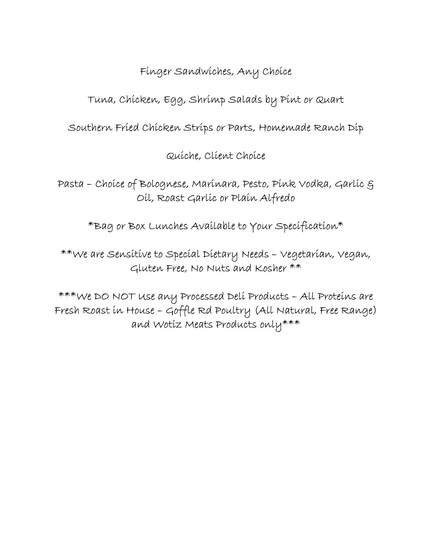# Finger Sandwiches, Any Choice

Tuna, Chicken, Egg, Shrimp Salads by Pint or Quart

Southern Fried Chicken Strips or Parts, Homemade Ranch Dip

Quiche, Client Choice

Pasta – Choice of Bolognese, Marinara, Pesto, Pink Vodka, Garlic & Oil, Roast Garlic or Plain Alfredo

\*Bag or Box Lunches Available to Your Specification\*

\*\*We are Sensitive to Special Dietary Needs – Vegetarian, Vegan, Gluten Free, No Nuts and Kosher \*\*

\*\*\*We DO NOT Use any Processed Deli Products – All Proteins are Fresh Roast in House – Goffle Rd Poultry (All Natural, Free Range) and Wotiz Meats Products only\*\*\*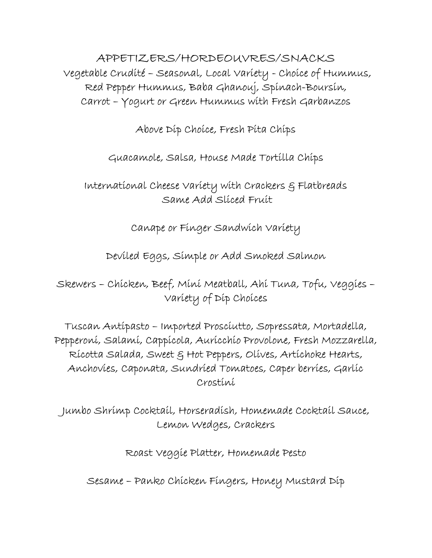APPETIZERS/HORDEOUVRES/SNACKS Vegetable Crudité – Seasonal, Local Variety - Choice of Hummus, Red Pepper Hummus, Baba Ghanouj, Spinach-Boursin, Carrot – Yogurt or Green Hummus with Fresh Garbanzos

Above Dip Choice, Fresh Pita Chips

Guacamole, Salsa, House Made Tortilla Chips

International Cheese Variety with Crackers & Flatbreads Same Add Sliced Fruit

Canape or Finger Sandwich Variety

Deviled Eggs, Simple or Add Smoked Salmon

Skewers – Chicken, Beef, Mini Meatball, Ahi Tuna, Tofu, Veggies – Variety of Dip Choices

Tuscan Antipasto – Imported Prosciutto, Sopressata, Mortadella, Pepperoni, Salami, Cappicola, Auricchio Provolone, Fresh Mozzarella, Ricotta Salada, Sweet & Hot Peppers, Olives, Artichoke Hearts, Anchovies, Caponata, Sundried Tomatoes, Caper berries, Garlic Crostini

Jumbo Shrimp Cocktail, Horseradish, Homemade Cocktail Sauce, Lemon Wedges, Crackers

Roast Veggie Platter, Homemade Pesto

Sesame – Panko Chicken Fingers, Honey Mustard Dip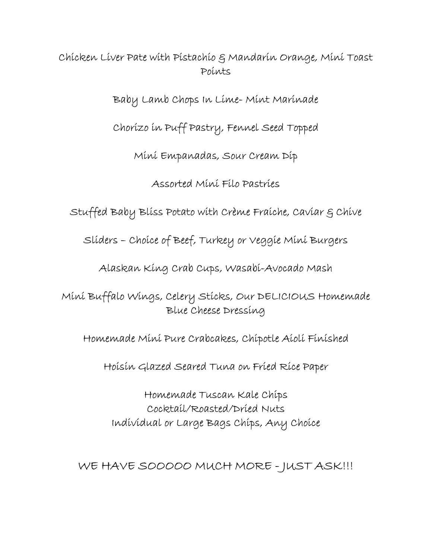# Chicken Liver Pate with Pistachio & Mandarin Orange, Mini Toast Points

Baby Lamb Chops In Lime- Mint Marinade

Chorizo in Puff Pastry, Fennel Seed Topped

Mini Empanadas, Sour Cream Dip

Assorted Mini Filo Pastries

Stuffed Baby Bliss Potato with Crème Fraiche, Caviar & Chive

Sliders – Choice of Beef, Turkey or Veggie Mini Burgers

Alaskan King Crab Cups, Wasabi-Avocado Mash

Mini Buffalo Wings, Celery Sticks, Our DELICIOUS Homemade Blue Cheese Dressing

Homemade Mini Pure Crabcakes, Chipotle Aioli Finished

Hoisin Glazed Seared Tuna on Fried Rice Paper

Homemade Tuscan Kale Chips Cocktail/Roasted/Dried Nuts Individual or Large Bags Chips, Any Choice

WE HAVE SOOOOO MUCH MORE - JUST ASK!!!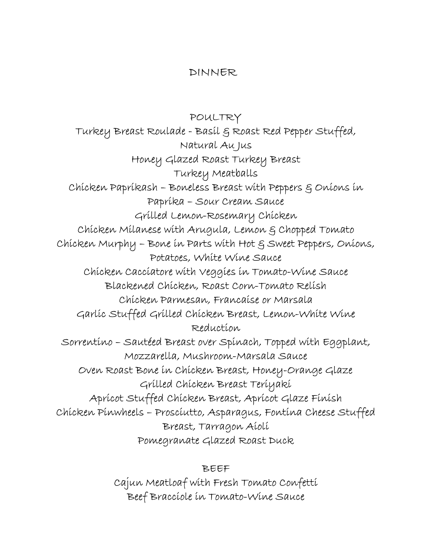### DINNER

POULTRY Turkey Breast Roulade - Basil & Roast Red Pepper Stuffed, Natural Au Jus Honey Glazed Roast Turkey Breast Turkey Meatballs Chicken Paprikash – Boneless Breast with Peppers & Onions in Paprika – Sour Cream Sauce Grilled Lemon-Rosemary Chicken Chicken Milanese with Arugula, Lemon & Chopped Tomato Chicken Murphy – Bone in Parts with Hot & Sweet Peppers, Onions, Potatoes, White Wine Sauce Chicken Cacciatore with Veggies in Tomato-Wine Sauce Blackened Chicken, Roast Corn-Tomato Relish Chicken Parmesan, Francaise or Marsala Garlic Stuffed Grilled Chicken Breast, Lemon-White Wine Reduction Sorrentino – Sautéed Breast over Spinach, Topped with Eggplant, Mozzarella, Mushroom-Marsala Sauce Oven Roast Bone in Chicken Breast, Honey-Orange Glaze Grilled Chicken Breast Teriyaki Apricot Stuffed Chicken Breast, Apricot Glaze Finish Chicken Pinwheels – Prosciutto, Asparagus, Fontina Cheese Stuffed Breast, Tarragon Aioli Pomegranate Glazed Roast Duck

#### BEEF

Cajun Meatloaf with Fresh Tomato Confetti Beef Bracciole in Tomato-Wine Sauce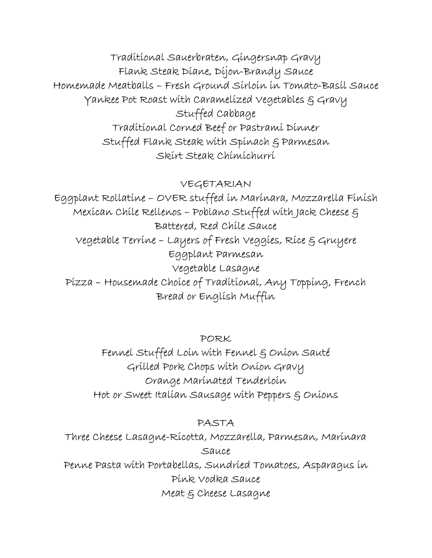Traditional Sauerbraten, Gingersnap Gravy Flank Steak Diane, Dijon-Brandy Sauce Homemade Meatballs – Fresh Ground Sirloin in Tomato-Basil Sauce Yankee Pot Roast with Caramelized Vegetables & Gravy Stuffed Cabbage Traditional Corned Beef or Pastrami Dinner Stuffed Flank Steak with Spinach & Parmesan Skirt Steak Chimichurri

#### VEGETARIAN

Eggplant Rollatine – OVER stuffed in Marinara, Mozzarella Finish Mexican Chile Rellenos – Poblano Stuffed with Jack Cheese & Battered, Red Chile Sauce Vegetable Terrine – Layers of Fresh Veggies, Rice & Gruyere Eggplant Parmesan Vegetable Lasagne Pizza – Housemade Choice of Traditional, Any Topping, French Bread or English Muffin

PORK

Fennel Stuffed Loin with Fennel & Onion Sauté Grilled Pork Chops with Onion Gravy Orange Marinated Tenderloin Hot or Sweet Italian Sausage with Peppers & Onions

#### PASTA

Three Cheese Lasagne-Ricotta, Mozzarella, Parmesan, Marinara Sauce Penne Pasta with Portabellas, Sundried Tomatoes, Asparagus in Pink Vodka Sauce Meat & Cheese Lasagne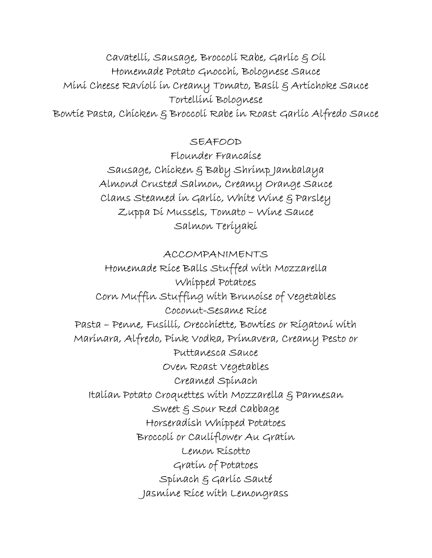Cavatelli, Sausage, Broccoli Rabe, Garlic & Oil Homemade Potato Gnocchi, Bolognese Sauce Mini Cheese Ravioli in Creamy Tomato, Basil & Artichoke Sauce Tortellini Bolognese Bowtie Pasta, Chicken & Broccoli Rabe in Roast Garlic Alfredo Sauce

#### SEAFOOD

Flounder Francaise Sausage, Chicken & Baby Shrimp Jambalaya Almond Crusted Salmon, Creamy Orange Sauce Clams Steamed in Garlic, White Wine & Parsley Zuppa Di Mussels, Tomato – Wine Sauce Salmon Teriyaki

ACCOMPANIMENTS Homemade Rice Balls Stuffed with Mozzarella Whipped Potatoes Corn Muffin Stuffing with Brunoise of Vegetables Coconut-Sesame Rice Pasta – Penne, Fusilli, Orecchiette, Bowties or Rigatoni with Marinara, Alfredo, Pink Vodka, Primavera, Creamy Pesto or Puttanesca Sauce Oven Roast Vegetables Creamed Spinach Italian Potato Croquettes with Mozzarella & Parmesan Sweet & Sour Red Cabbage Horseradish Whipped Potatoes Broccoli or Cauliflower Au Gratin Lemon Risotto Gratin of Potatoes Spinach & Garlic Sauté Jasmine Rice with Lemongrass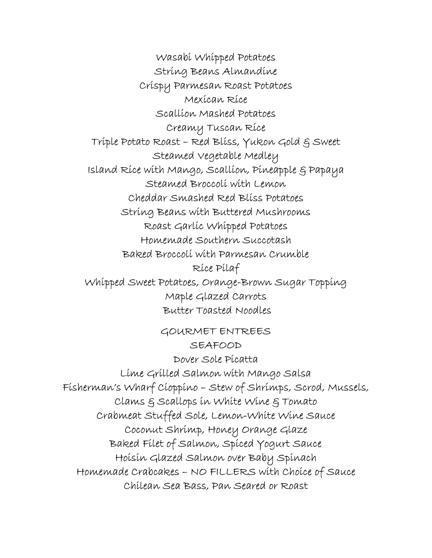Wasabi Whipped Potatoes String Beans Almandine Crispy Parmesan Roast Potatoes Mexican Rice Scallion Mashed Potatoes Creamy Tuscan Rice Triple Potato Roast – Red Bliss, Yukon Gold & Sweet Steamed Vegetable Medley Island Rice with Mango, Scallion, Pineapple & Papaya Steamed Broccoli with Lemon Cheddar Smashed Red Bliss Potatoes String Beans with Buttered Mushrooms Roast Garlic Whipped Potatoes Homemade Southern Succotash Baked Broccoli with Parmesan Crumble Rice Pilaf Whipped Sweet Potatoes, Orange-Brown Sugar Topping Maple Glazed Carrots Butter Toasted Noodles GOURMET ENTREES SEAFOOD Dover Sole Picatta Lime Grilled Salmon with Mango Salsa Fisherman's Wharf Cioppino – Stew of Shrimps, Scrod, Mussels, Clams & Scallops in White Wine & Tomato Crabmeat Stuffed Sole, Lemon-White Wine Sauce Coconut Shrimp, Honey Orange Glaze Baked Filet of Salmon, Spiced Yogurt Sauce Hoisin Glazed Salmon over Baby Spinach Homemade Crabcakes – NO FILLERS with Choice of Sauce

Chilean Sea Bass, Pan Seared or Roast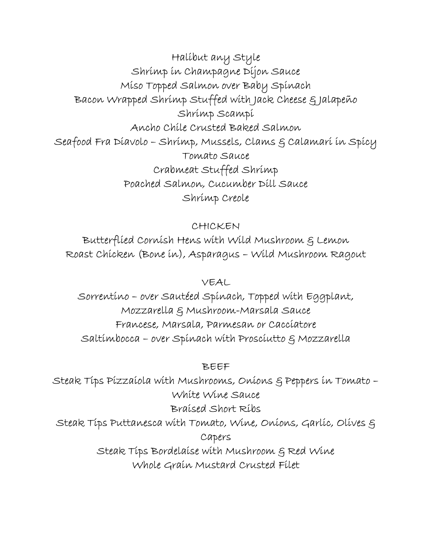Halibut any Style Shrimp in Champagne Dijon Sauce Miso Topped Salmon over Baby Spinach Bacon Wrapped Shrimp Stuffed with Jack Cheese & Jalapeño Shrimp Scampi Ancho Chile Crusted Baked Salmon Seafood Fra Diavolo – Shrimp, Mussels, Clams & Calamari in Spicy Tomato Sauce Crabmeat Stuffed Shrimp Poached Salmon, Cucumber Dill Sauce Shrimp Creole

CHICKEN

Butterflied Cornish Hens with Wild Mushroom & Lemon Roast Chicken (Bone in), Asparagus – Wild Mushroom Ragout

VEAL

Sorrentino – over Sautéed Spinach, Topped with Eggplant, Mozzarella & Mushroom-Marsala Sauce Francese, Marsala, Parmesan or Cacciatore Saltimbocca – over Spinach with Prosciutto & Mozzarella

BEEF

Steak Tips Pizzaiola with Mushrooms, Onions & Peppers in Tomato – White Wine Sauce Braised Short Ribs Steak Tips Puttanesca with Tomato, Wine, Onions, Garlic, Olives & Capers Steak Tips Bordelaise with Mushroom & Red Wine Whole Grain Mustard Crusted Filet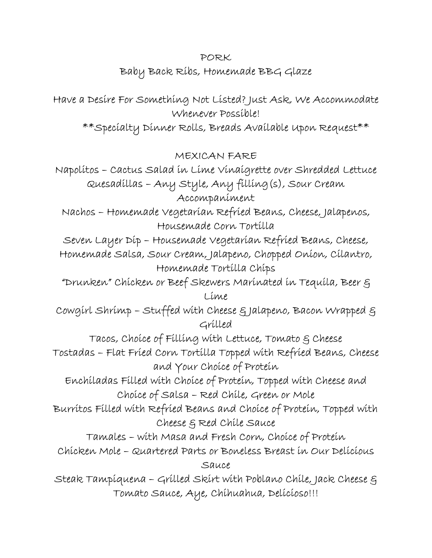PORK

Baby Back Ribs, Homemade BBG Glaze

Have a Desire For Something Not Listed? Just Ask, We Accommodate Whenever Possible!

\*\*Specialty Dinner Rolls, Breads Available Upon Request\*\*

### MEXICAN FARE

Napolitos – Cactus Salad in Lime Vinaigrette over Shredded Lettuce Quesadillas – Any Style, Any filling(s), Sour Cream

Accompaniment

Nachos – Homemade Vegetarian Refried Beans, Cheese, Jalapenos, Housemade Corn Tortilla

Seven Layer Dip – Housemade Vegetarian Refried Beans, Cheese, Homemade Salsa, Sour Cream, Jalapeno, Chopped Onion, Cilantro, Homemade Tortilla Chips

"Drunken" Chicken or Beef Skewers Marinated in Tequila, Beer & Lime

Cowgirl Shrimp – Stuffed with Cheese & Jalapeno, Bacon Wrapped & Grilled

Tacos, Choice of Filling with Lettuce, Tomato & Cheese Tostadas – Flat Fried Corn Tortilla Topped with Refried Beans, Cheese and Your Choice of Protein

Enchiladas Filled with Choice of Protein, Topped with Cheese and Choice of Salsa – Red Chile, Green or Mole

Burritos Filled with Refried Beans and Choice of Protein, Topped with Cheese & Red Chile Sauce

Tamales – with Masa and Fresh Corn, Choice of Protein

Chicken Mole – Quartered Parts or Boneless Breast in Our Delicious Sauce

Steak Tampiquena – Grilled Skirt with Poblano Chile, Jack Cheese & Tomato Sauce, Aye, Chihuahua, Delicioso!!!